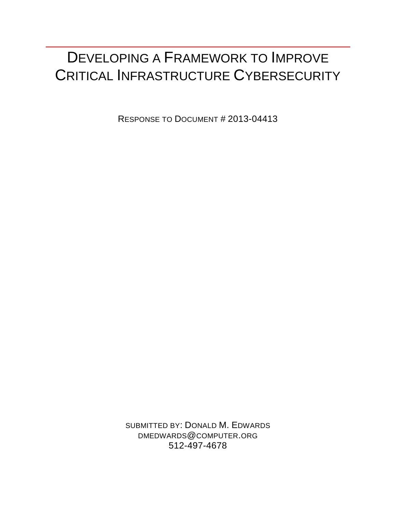# DEVELOPING A FRAMEWORK TO IMPROVE CRITICAL INFRASTRUCTURE CYBERSECURITY

RESPONSE TO DOCUMENT # 2013-04413

SUBMITTED BY: DONALD M. EDWARDS DMEDWARDS@COMPUTER.ORG 512-497-4678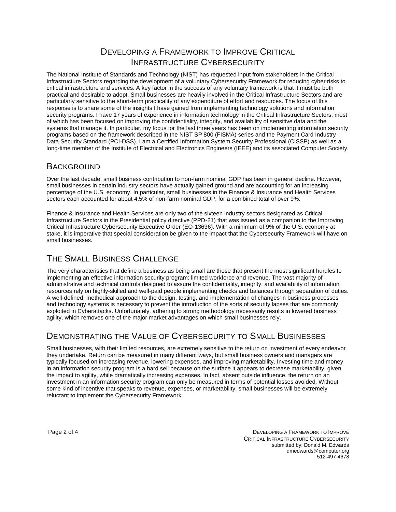## DEVELOPING A FRAMEWORK TO IMPROVE CRITICAL INFRASTRUCTURE CYBERSECURITY

The National Institute of Standards and Technology (NIST) has requested input from stakeholders in the Critical Infrastructure Sectors regarding the development of a voluntary Cybersecurity Framework for reducing cyber risks to critical infrastructure and services. A key factor in the success of any voluntary framework is that it must be both practical and desirable to adopt. Small businesses are heavily involved in the Critical Infrastructure Sectors and are particularly sensitive to the short-term practicality of any expenditure of effort and resources. The focus of this response is to share some of the insights I have gained from implementing technology solutions and information security programs. I have 17 years of experience in information technology in the Critical Infrastructure Sectors, most of which has been focused on improving the confidentiality, integrity, and availability of sensitive data and the systems that manage it. In particular, my focus for the last three years has been on implementing information security programs based on the framework described in the NIST SP 800 (FISMA) series and the Payment Card Industry Data Security Standard (PCI-DSS). I am a Certified Information System Security Professional (CISSP) as well as a long-time member of the Institute of Electrical and Electronics Engineers (IEEE) and its associated Computer Society.

## **BACKGROUND**

Over the last decade, small business contribution to non-farm nominal GDP has been in general decline. However, small businesses in certain industry sectors have actually gained ground and are accounting for an increasing percentage of the U.S. economy. In particular, small businesses in the Finance & Insurance and Health Services sectors each accounted for about 4.5% of non-farm nominal GDP, for a combined total of over 9%.

Finance & Insurance and Health Services are only two of the sixteen industry sectors designated as Critical Infrastructure Sectors in the Presidential policy directive (PPD-21) that was issued as a companion to the Improving Critical Infrastructure Cybersecurity Executive Order (EO-13636). With a minimum of 9% of the U.S. economy at stake, it is imperative that special consideration be given to the impact that the Cybersecurity Framework will have on small businesses.

# THE SMALL BUSINESS CHALLENGE

The very characteristics that define a business as being small are those that present the most significant hurdles to implementing an effective information security program: limited workforce and revenue. The vast majority of administrative and technical controls designed to assure the confidentiality, integrity, and availability of information resources rely on highly-skilled and well-paid people implementing checks and balances through separation of duties. A well-defined, methodical approach to the design, testing, and implementation of changes in business processes and technology systems is necessary to prevent the introduction of the sorts of security lapses that are commonly exploited in Cyberattacks. Unfortunately, adhering to strong methodology necessarily results in lowered business agility, which removes one of the major market advantages on which small businesses rely.

# DEMONSTRATING THE VALUE OF CYBERSECURITY TO SMALL BUSINESSES

Small businesses, with their limited resources, are extremely sensitive to the return on investment of every endeavor they undertake. Return can be measured in many different ways, but small business owners and managers are typically focused on increasing revenue, lowering expenses, and improving marketability. Investing time and money in an information security program is a hard sell because on the surface it appears to decrease marketability, given the impact to agility, while dramatically increasing expenses. In fact, absent outside influence, the return on an investment in an information security program can only be measured in terms of potential losses avoided. Without some kind of incentive that speaks to revenue, expenses, or marketability, small businesses will be extremely reluctant to implement the Cybersecurity Framework.

Page 2 of 4 DEVELOPING A FRAMEWORK TO IMPROVE CRITICAL INFRASTRUCTURE CYBERSECURITY submitted by: Donald M. Edwards dmedwards@computer.org 512-497-4678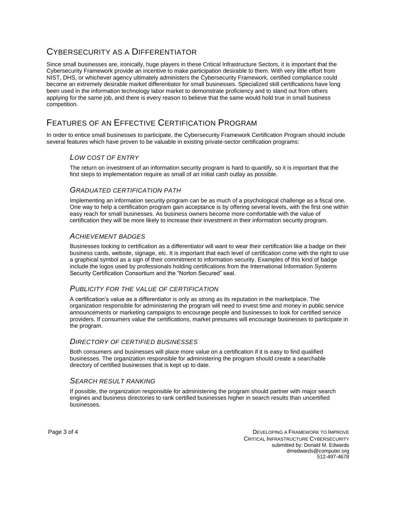## CYBERSECURITY AS A DIFFERENTIATOR

Since small businesses are, ironically, huge players in these Critical Infrastructure Sectors, it is important that the Cybersecurity Framework provide an incentive to make participation desirable to them. With very little effort from NIST, DHS, or whichever agency ultimately administers the Cybersecurity Framework, certified compliance could become an extremely desirable market differentiator for small businesses. Specialized skill certifications have long been used in the information technology labor market to demonstrate proficiency and to stand out from others applying for the same job, and there is every reason to believe that the same would hold true in small business competition.

# FEATURES OF AN EFFECTIVE CERTIFICATION PROGRAM

In order to entice small businesses to participate, the Cybersecurity Framework Certification Program should include several features which have proven to be valuable in existing private-sector certification programs:

## *LOW COST OF ENTRY*

The return on investment of an information security program is hard to quantify, so it is important that the first steps to implementation require as small of an initial cash outlay as possible.

#### *GRADUATED CERTIFICATION PATH*

Implementing an information security program can be as much of a psychological challenge as a fiscal one. One way to help a certification program gain acceptance is by offering several levels, with the first one within easy reach for small businesses. As business owners become more comfortable with the value of certification they will be more likely to increase their investment in their information security program.

#### *ACHIEVEMENT BADGES*

Businesses looking to certification as a differentiator will want to wear their certification like a badge on their business cards, website, signage, etc. It is important that each level of certification come with the right to use a graphical symbol as a sign of their commitment to information security. Examples of this kind of badge include the logos used by professionals holding certifications from the International Information Systems Security Certification Consortium and the "Norton Secured" seal.

### *PUBLICITY FOR THE VALUE OF CERTIFICATION*

A certification's value as a differentiator is only as strong as its reputation in the marketplace. The organization responsible for administering the program will need to invest time and money in public service announcements or marketing campaigns to encourage people and businesses to look for certified service providers. If consumers value the certifications, market pressures will encourage businesses to participate in the program.

#### *DIRECTORY OF CERTIFIED BUSINESSES*

Both consumers and businesses will place more value on a certification if it is easy to find qualified businesses. The organization responsible for administering the program should create a searchable directory of certified businesses that is kept up to date.

## *SEARCH RESULT RANKING*

If possible, the organization responsible for administering the program should partner with major search engines and business directories to rank certified businesses higher in search results than uncertified businesses.

Page 3 of 4 DEVELOPING A FRAMEWORK TO IMPROVE CRITICAL INFRASTRUCTURE CYBERSECURITY submitted by: Donald M. Edwards dmedwards@computer.org 512-497-4678